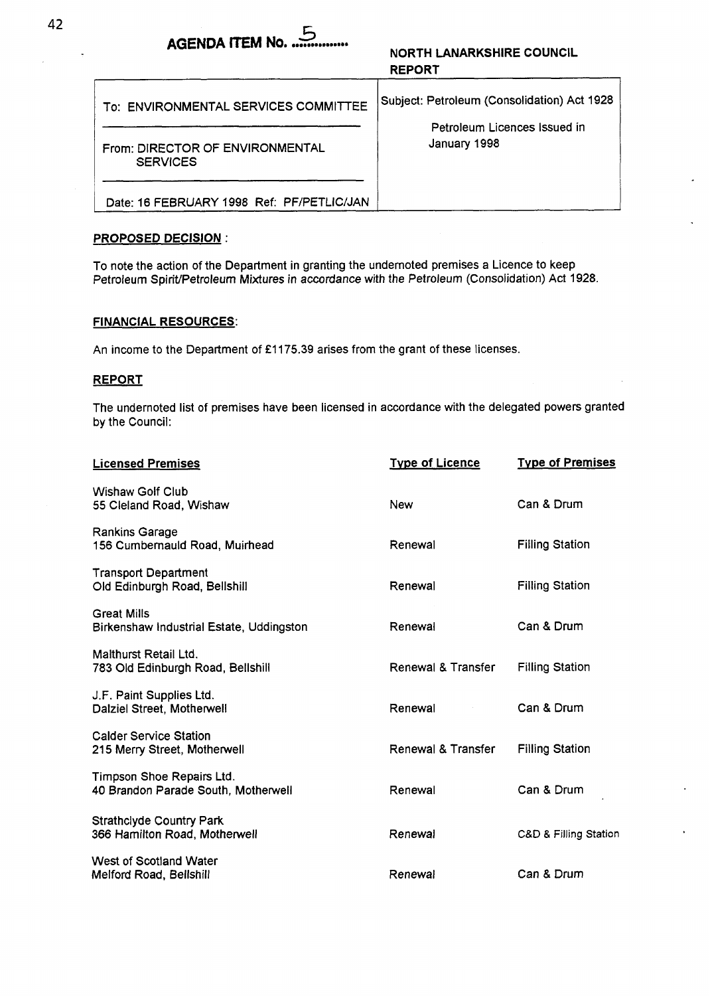# ACENDA **ITEM No. ...............**<br>NORTH LANARKSHIRE COUNCIL

# **REPORT**

| To: ENVIRONMENTAL SERVICES COMMITTEE               | Subject: Petroleum (Consolidation) Act 1928<br>Petroleum Licences Issued in<br>January 1998 |  |
|----------------------------------------------------|---------------------------------------------------------------------------------------------|--|
| From: DIRECTOR OF ENVIRONMENTAL<br><b>SERVICES</b> |                                                                                             |  |
| Date: 16 FEBRUARY 1998 Ref: PF/PETLIC/JAN          |                                                                                             |  |

## **PROPOSED DECISION** :

To note the action of the Department in granting the undernoted premises a Licence to keep Petroleum Spirit/Petroleum Mixtures in accordance with the Petroleum (Consolidation) Act 1928.

### **FINANCIAL RESOURCES:**

An income to the Department of £1175.39 arises from the grant of these licenses.

### **REPORT**

The undernoted list of premises have been licensed in accordance with the delegated powers granted by the Council:

| <b>Licensed Premises</b>                                         | <b>Type of Licence</b> | <b>Type of Premises</b> |
|------------------------------------------------------------------|------------------------|-------------------------|
| Wishaw Golf Club<br>55 Cleland Road, Wishaw                      | New                    | Can & Drum              |
| Rankins Garage<br>156 Cumbernauld Road, Muirhead                 | Renewal                | <b>Filling Station</b>  |
| <b>Transport Department</b><br>Old Edinburgh Road, Bellshill     | Renewal                | <b>Filling Station</b>  |
| <b>Great Mills</b><br>Birkenshaw Industrial Estate, Uddingston   | Renewal                | Can & Drum              |
| Malthurst Retail Ltd.<br>783 Old Edinburgh Road, Bellshill       | Renewal & Transfer     | <b>Filling Station</b>  |
| J.F. Paint Supplies Ltd.<br>Dalziel Street, Motherwell           | Renewal                | Can & Drum              |
| <b>Calder Service Station</b><br>215 Merry Street, Motherwell    | Renewal & Transfer     | <b>Filling Station</b>  |
| Timpson Shoe Repairs Ltd.<br>40 Brandon Parade South, Motherwell | Renewal                | Can & Drum              |
| <b>Strathclyde Country Park</b><br>366 Hamilton Road, Motherwell | Renewal                | C&D & Filling Station   |
| West of Scotland Water<br>Melford Road, Bellshill                | Renewal                | Can & Drum              |